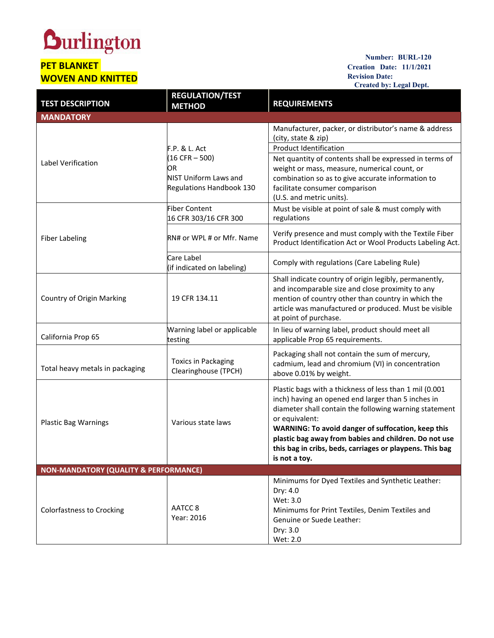## **Durlington**

## **PET BLANKET WOVEN AND KNITTED**

**Number: BURL-120 Creation Date: 11/1/2021 Revision Date: Created by: Legal Dept.**

| <b>TEST DESCRIPTION</b>                          | <b>REGULATION/TEST</b><br><b>METHOD</b>                                                                        | <b>REQUIREMENTS</b>                                                                                                                                                                                                                                                                                                                                                                   |
|--------------------------------------------------|----------------------------------------------------------------------------------------------------------------|---------------------------------------------------------------------------------------------------------------------------------------------------------------------------------------------------------------------------------------------------------------------------------------------------------------------------------------------------------------------------------------|
| <b>MANDATORY</b>                                 |                                                                                                                |                                                                                                                                                                                                                                                                                                                                                                                       |
| Label Verification                               |                                                                                                                | Manufacturer, packer, or distributor's name & address<br>(city, state & zip)                                                                                                                                                                                                                                                                                                          |
|                                                  | <b>F.P. &amp; L. Act</b><br>$(16 CFR - 500)$<br>OR<br><b>NIST Uniform Laws and</b><br>Regulations Handbook 130 | <b>Product Identification</b><br>Net quantity of contents shall be expressed in terms of<br>weight or mass, measure, numerical count, or<br>combination so as to give accurate information to<br>facilitate consumer comparison<br>(U.S. and metric units).                                                                                                                           |
| <b>Fiber Labeling</b>                            | <b>Fiber Content</b><br>16 CFR 303/16 CFR 300                                                                  | Must be visible at point of sale & must comply with<br>regulations                                                                                                                                                                                                                                                                                                                    |
|                                                  | RN# or WPL # or Mfr. Name                                                                                      | Verify presence and must comply with the Textile Fiber<br>Product Identification Act or Wool Products Labeling Act.                                                                                                                                                                                                                                                                   |
|                                                  | Care Label<br>(if indicated on labeling)                                                                       | Comply with regulations (Care Labeling Rule)                                                                                                                                                                                                                                                                                                                                          |
| <b>Country of Origin Marking</b>                 | 19 CFR 134.11                                                                                                  | Shall indicate country of origin legibly, permanently,<br>and incomparable size and close proximity to any<br>mention of country other than country in which the<br>article was manufactured or produced. Must be visible<br>at point of purchase.                                                                                                                                    |
| California Prop 65                               | Warning label or applicable<br>testing                                                                         | In lieu of warning label, product should meet all<br>applicable Prop 65 requirements.                                                                                                                                                                                                                                                                                                 |
| Total heavy metals in packaging                  | <b>Toxics in Packaging</b><br>Clearinghouse (TPCH)                                                             | Packaging shall not contain the sum of mercury,<br>cadmium, lead and chromium (VI) in concentration<br>above 0.01% by weight.                                                                                                                                                                                                                                                         |
| <b>Plastic Bag Warnings</b>                      | Various state laws                                                                                             | Plastic bags with a thickness of less than 1 mil (0.001<br>inch) having an opened end larger than 5 inches in<br>diameter shall contain the following warning statement<br>or equivalent:<br>WARNING: To avoid danger of suffocation, keep this<br>plastic bag away from babies and children. Do not use<br>this bag in cribs, beds, carriages or playpens. This bag<br>is not a toy. |
| <b>NON-MANDATORY (QUALITY &amp; PERFORMANCE)</b> |                                                                                                                |                                                                                                                                                                                                                                                                                                                                                                                       |
| <b>Colorfastness to Crocking</b>                 | AATCC <sub>8</sub><br>Year: 2016                                                                               | Minimums for Dyed Textiles and Synthetic Leather:<br>Dry: 4.0<br>Wet: 3.0<br>Minimums for Print Textiles, Denim Textiles and<br>Genuine or Suede Leather:<br>Dry: 3.0<br>Wet: 2.0                                                                                                                                                                                                     |